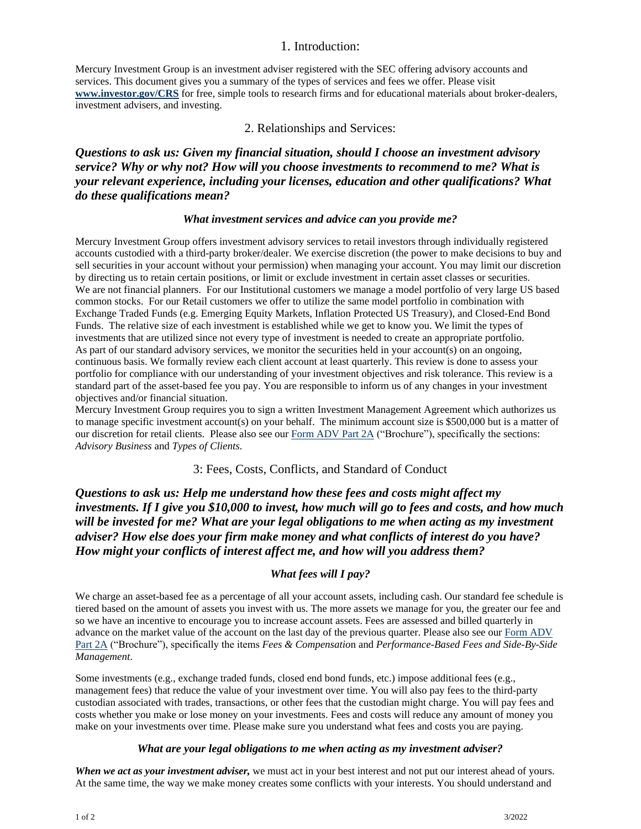## 1. Introduction:

Mercury Investment Group is an investment adviser registered with the SEC offering advisory accounts and services. This document gives you a summary of the types of services and fees we offer. Please visit **[www.investor.gov/CRS](file:///C:/Users/SP4-2/Documents/GHE/www.investor.gov/CRS)** for free, simple tools to research firms and for educational materials about broker-dealers, investment advisers, and investing.

### 2. Relationships and Services:

# *Questions to ask us: Given my financial situation, should I choose an investment advisory service? Why or why not? How will you choose investments to recommend to me? What is your relevant experience, including your licenses, education and other qualifications? What do these qualifications mean?*

#### *What investment services and advice can you provide me?*

Mercury Investment Group offers investment advisory services to retail investors through individually registered accounts custodied with a third-party broker/dealer. We exercise discretion (the power to make decisions to buy and sell securities in your account without your permission) when managing your account. You may limit our discretion by directing us to retain certain positions, or limit or exclude investment in certain asset classes or securities. We are not financial planners. For our Institutional customers we manage a model portfolio of very large US based common stocks. For our Retail customers we offer to utilize the same model portfolio in combination with Exchange Traded Funds (e.g. Emerging Equity Markets, Inflation Protected US Treasury), and Closed-End Bond Funds. The relative size of each investment is established while we get to know you. We limit the types of investments that are utilized since not every type of investment is needed to create an appropriate portfolio. As part of our standard advisory services, we monitor the securities held in your account(s) on an ongoing, continuous basis. We formally review each client account at least quarterly. This review is done to assess your portfolio for compliance with our understanding of your investment objectives and risk tolerance. This review is a standard part of the asset-based fee you pay. You are responsible to inform us of any changes in your investment objectives and/or financial situation.

Mercury Investment Group requires you to sign a written Investment Management Agreement which authorizes us to manage specific investment account(s) on your behalf. The minimum account size is \$500,000 but is a matter of our discretion for retail clients. Please also see our [Form ADV Part 2A](https://files.adviserinfo.sec.gov/IAPD/Content/Common/crd_iapd_Brochure.aspx?BRCHR_VRSN_ID=607622) ("Brochure"), specifically the sections: *Advisory Business* and *Types of Clients*.

### 3: Fees, Costs, Conflicts, and Standard of Conduct

*Questions to ask us: Help me understand how these fees and costs might affect my investments. If I give you \$10,000 to invest, how much will go to fees and costs, and how much will be invested for me? What are your legal obligations to me when acting as my investment adviser? How else does your firm make money and what conflicts of interest do you have? How might your conflicts of interest affect me, and how will you address them?*

### *What fees will I pay?*

We charge an asset-based fee as a percentage of all your account assets, including cash. Our standard fee schedule is tiered based on the amount of assets you invest with us. The more assets we manage for you, the greater our fee and so we have an incentive to encourage you to increase account assets. Fees are assessed and billed quarterly in advance on the market value of the account on the last day of the previous quarter. Please also see our Form ADV [Part 2A](https://files.adviserinfo.sec.gov/IAPD/Content/Common/crd_iapd_Brochure.aspx?BRCHR_VRSN_ID=607622) ("Brochure"), specifically the items *Fees & Compensatio*n and *Performance-Based Fees and Side-By-Side Management*.

Some investments (e.g., exchange traded funds, closed end bond funds, etc.) impose additional fees (e.g., management fees) that reduce the value of your investment over time. You will also pay fees to the third-party custodian associated with trades, transactions, or other fees that the custodian might charge. You will pay fees and costs whether you make or lose money on your investments. Fees and costs will reduce any amount of money you make on your investments over time. Please make sure you understand what fees and costs you are paying.

#### *What are your legal obligations to me when acting as my investment adviser?*

*When we act as your investment adviser,* we must act in your best interest and not put our interest ahead of yours. At the same time, the way we make money creates some conflicts with your interests. You should understand and